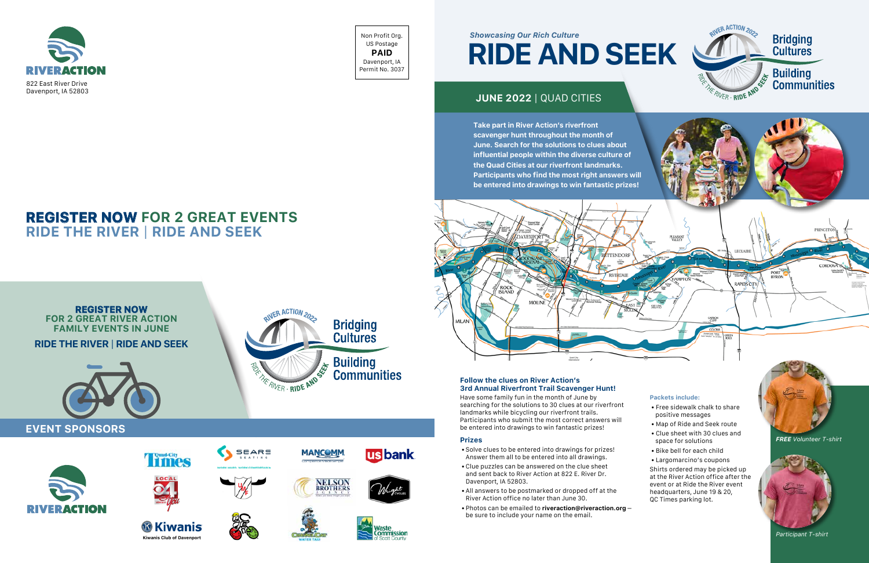Non Profit Org. US Postage **PAID** Davenport, IA Permit No. 3037



## **REGISTER NOW FOR 2 GREAT EVENTS RIDE THE RIVER** | **RIDE AND SEEK**

## **Follow the clues on River Action's 3rd Annual Riverfront Trail Scavenger Hunt!**

Have some family fun in the month of June by searching for the solutions to 30 clues at our riverfront landmarks while bicycling our riverfront trails. Participants who submit the most correct answers will be entered into drawings to win fantastic prizes!

## **Prizes**





## **Bridging Cultures**

**Building Communities** 

- Solve clues to be entered into drawings for prizes! Answer them all to be entered into all drawings.
- Clue puzzles can be answered on the clue sheet and sent back to River Action at 822 E. River Dr. Davenport, IA 52803.
- All answers to be postmarked or dropped off at the River Action office no later than June 30.
- Photos can be emailed to **riveraction@riveraction.org** be sure to include your name on the email.

## **RIDE AND SEEK** *Showcasing Our Rich Culture*

## **JUNE 2022** | QUAD CITIES

**Take part in River Action's riverfront scavenger hunt throughout the month of June. Search for the solutions to clues about influential people within the diverse culture of the Quad Cities at our riverfront landmarks.** 





*FREE Volunteer T-shirt*



*Participant T-shirt*

#### **Packets include:**

- Free sidewalk chalk to share positive messages
- Map of Ride and Seek route
- Clue sheet with 30 clues and space for solutions
- Bike bell for each child
- Largomarcino's coupons

Shirts ordered may be picked up at the River Action office after the event or at Ride the River event headquarters, June 19 & 20, QC Times parking lot.